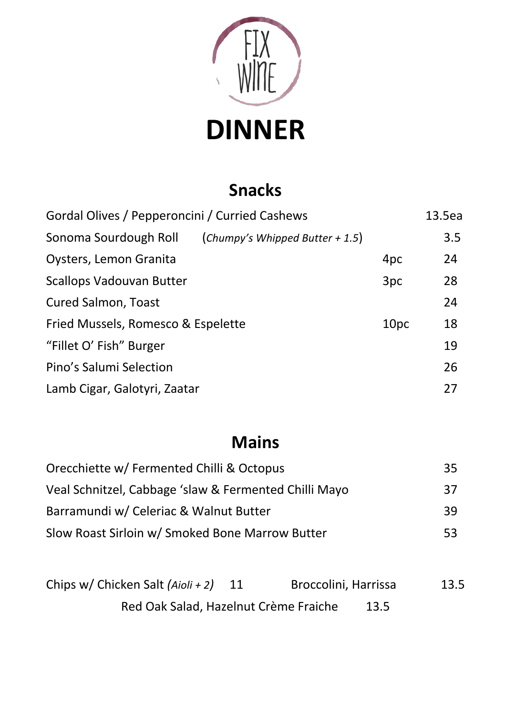

# **DINNER**

### **Snacks**

| Gordal Olives / Pepperoncini / Curried Cashews |                                   |                  |     |
|------------------------------------------------|-----------------------------------|------------------|-----|
| Sonoma Sourdough Roll                          | (Chumpy's Whipped Butter $+1.5$ ) |                  | 3.5 |
| Oysters, Lemon Granita                         |                                   | 4pc              | 24  |
| <b>Scallops Vadouvan Butter</b>                |                                   | 3pc              | 28  |
| <b>Cured Salmon, Toast</b>                     |                                   |                  | 24  |
| Fried Mussels, Romesco & Espelette             |                                   | 10 <sub>pc</sub> | 18  |
| "Fillet O' Fish" Burger                        |                                   |                  | 19  |
| Pino's Salumi Selection                        |                                   |                  | 26  |
| Lamb Cigar, Galotyri, Zaatar                   |                                   |                  | 27  |
|                                                |                                   |                  |     |

## **Mains**

| Orecchiette w/ Fermented Chilli & Octopus             | 35 |
|-------------------------------------------------------|----|
| Veal Schnitzel, Cabbage 'slaw & Fermented Chilli Mayo | 37 |
| Barramundi w/ Celeriac & Walnut Butter                | 39 |
| Slow Roast Sirloin w/ Smoked Bone Marrow Butter       | 53 |

| Chips w/ Chicken Salt $(Aioli + 2)$   | Broccolini, Harrissa | 13.5 |
|---------------------------------------|----------------------|------|
| Red Oak Salad, Hazelnut Crème Fraiche | 13.5                 |      |